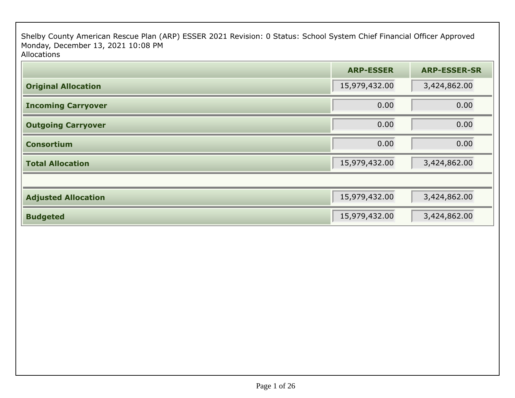Shelby County American Rescue Plan (ARP) ESSER 2021 Revision: 0 Status: School System Chief Financial Officer Approved Monday, December 13, 2021 10:08 PMAllocations

|                            | <b>ARP-ESSER</b> | <b>ARP-ESSER-SR</b> |
|----------------------------|------------------|---------------------|
| <b>Original Allocation</b> | 15,979,432.00    | 3,424,862.00        |
| <b>Incoming Carryover</b>  | 0.00             | 0.00                |
| <b>Outgoing Carryover</b>  | 0.00             | 0.00                |
| <b>Consortium</b>          | 0.00             | 0.00                |
| <b>Total Allocation</b>    | 15,979,432.00    | 3,424,862.00        |
|                            |                  |                     |
| <b>Adjusted Allocation</b> | 15,979,432.00    | 3,424,862.00        |
| <b>Budgeted</b>            | 15,979,432.00    | 3,424,862.00        |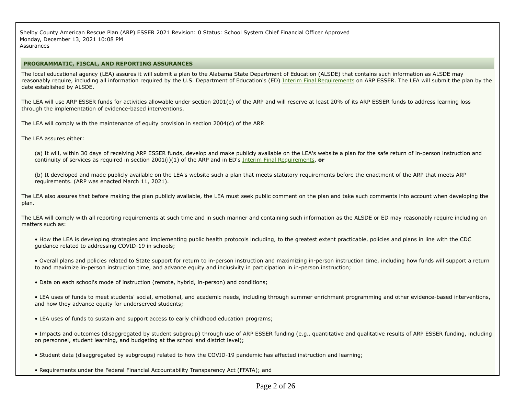Shelby County American Rescue Plan (ARP) ESSER 2021 Revision: 0 Status: School System Chief Financial Officer Approved Monday, December 13, 2021 10:08 PMAssurances

#### **PROGRAMMATIC, FISCAL, AND REPORTING ASSURANCES**

The local educational agency (LEA) assures it will submit a plan to the Alabama State Department of Education (ALSDE) that contains such information as ALSDE mayreasonably require, including all information required by the U.S. Department of Education's (ED) Interim Final Requirements on ARP ESSER. The LEA will submit the plan by the date established by ALSDE.

The LEA will use ARP ESSER funds for activities allowable under section 2001(e) of the ARP and will reserve at least 20% of its ARP ESSER funds to address learning lossthrough the implementation of evidence-based interventions.

The LEA will comply with the maintenance of equity provision in section 2004(c) of the ARP.

The LEA assures either:

(a) It will, within 30 days of receiving ARP ESSER funds, develop and make publicly available on the LEA's website a plan for the safe return of in-person instruction andcontinuity of services as required in section 2001(i)(1) of the ARP and in ED's Interim Final Requirements, **or**

(b) It developed and made publicly available on the LEA's website such a plan that meets statutory requirements before the enactment of the ARP that meets ARPrequirements. (ARP was enacted March 11, 2021).

The LEA also assures that before making the plan publicly available, the LEA must seek public comment on the plan and take such comments into account when developing theplan.

The LEA will comply with all reporting requirements at such time and in such manner and containing such information as the ALSDE or ED may reasonably require including on matters such as:

• How the LEA is developing strategies and implementing public health protocols including, to the greatest extent practicable, policies and plans in line with the CDCguidance related to addressing COVID-19 in schools;

• Overall plans and policies related to State support for return to in-person instruction and maximizing in-person instruction time, including how funds will support a returnto and maximize in-person instruction time, and advance equity and inclusivity in participation in in-person instruction;

• Data on each school's mode of instruction (remote, hybrid, in-person) and conditions;

• LEA uses of funds to meet students' social, emotional, and academic needs, including through summer enrichment programming and other evidence-based interventions,and how they advance equity for underserved students;

• LEA uses of funds to sustain and support access to early childhood education programs;

• Impacts and outcomes (disaggregated by student subgroup) through use of ARP ESSER funding (e.g., quantitative and qualitative results of ARP ESSER funding, includingon personnel, student learning, and budgeting at the school and district level);

- Student data (disaggregated by subgroups) related to how the COVID-19 pandemic has affected instruction and learning;
- Requirements under the Federal Financial Accountability Transparency Act (FFATA); and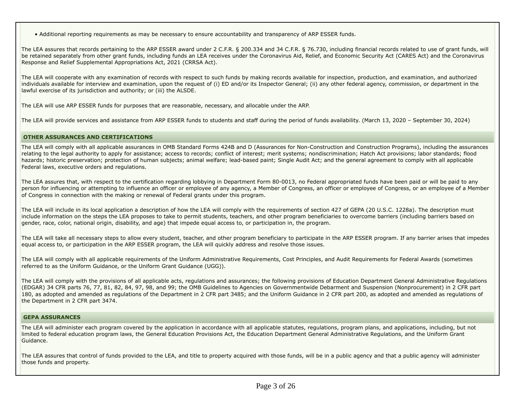• Additional reporting requirements as may be necessary to ensure accountability and transparency of ARP ESSER funds.

The LEA assures that records pertaining to the ARP ESSER award under 2 C.F.R. § 200.334 and 34 C.F.R. § 76.730, including financial records related to use of grant funds, willbe retained separately from other grant funds, including funds an LEA receives under the Coronavirus Aid, Relief, and Economic Security Act (CARES Act) and the CoronavirusResponse and Relief Supplemental Appropriations Act, 2021 (CRRSA Act).

The LEA will cooperate with any examination of records with respect to such funds by making records available for inspection, production, and examination, and authorized individuals available for interview and examination, upon the request of (i) ED and/or its Inspector General; (ii) any other federal agency, commission, or department in thelawful exercise of its jurisdiction and authority; or (iii) the ALSDE.

The LEA will use ARP ESSER funds for purposes that are reasonable, necessary, and allocable under the ARP.

The LEA will provide services and assistance from ARP ESSER funds to students and staff during the period of funds availability. (March 13, 2020 – September 30, 2024)

#### **OTHER ASSURANCES AND CERTIFICATIONS**

The LEA will comply with all applicable assurances in OMB Standard Forms 424B and D (Assurances for Non-Construction and Construction Programs), including the assurancesrelating to the legal authority to apply for assistance; access to records; conflict of interest; merit systems; nondiscrimination; Hatch Act provisions; labor standards; flood hazards; historic preservation; protection of human subjects; animal welfare; lead-based paint; Single Audit Act; and the general agreement to comply with all applicableFederal laws, executive orders and regulations.

The LEA assures that, with respect to the certification regarding lobbying in Department Form 80-0013, no Federal appropriated funds have been paid or will be paid to any person for influencing or attempting to influence an officer or employee of any agency, a Member of Congress, an officer or employee of Congress, or an employee of a Memberof Congress in connection with the making or renewal of Federal grants under this program.

The LEA will include in its local application a description of how the LEA will comply with the requirements of section 427 of GEPA (20 U.S.C. 1228a). The description mustinclude information on the steps the LEA proposes to take to permit students, teachers, and other program beneficiaries to overcome barriers (including barriers based on gender, race, color, national origin, disability, and age) that impede equal access to, or participation in, the program.

The LEA will take all necessary steps to allow every student, teacher, and other program beneficiary to participate in the ARP ESSER program. If any barrier arises that impedesequal access to, or participation in the ARP ESSER program, the LEA will quickly address and resolve those issues.

The LEA will comply with all applicable requirements of the Uniform Administrative Requirements, Cost Principles, and Audit Requirements for Federal Awards (sometimesreferred to as the Uniform Guidance, or the Uniform Grant Guidance (UGG)).

The LEA will comply with the provisions of all applicable acts, regulations and assurances; the following provisions of Education Department General Administrative Regulations(EDGAR) 34 CFR parts 76, 77, 81, 82, 84, 97, 98, and 99; the OMB Guidelines to Agencies on Governmentwide Debarment and Suspension (Nonprocurement) in 2 CFR part 180, as adopted and amended as regulations of the Department in 2 CFR part 3485; and the Uniform Guidance in 2 CFR part 200, as adopted and amended as regulations ofthe Department in 2 CFR part 3474.

#### **GEPA ASSURANCES**

The LEA will administer each program covered by the application in accordance with all applicable statutes, regulations, program plans, and applications, including, but notlimited to federal education program laws, the General Education Provisions Act, the Education Department General Administrative Regulations, and the Uniform GrantGuidance.

The LEA assures that control of funds provided to the LEA, and title to property acquired with those funds, will be in a public agency and that a public agency will administer those funds and property.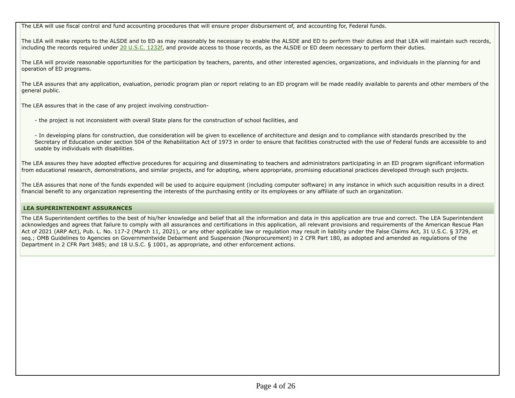The LEA will use fiscal control and fund accounting procedures that will ensure proper disbursement of, and accounting for, Federal funds.

The LEA will make reports to the ALSDE and to ED as may reasonably be necessary to enable the ALSDE and ED to perform their duties and that LEA will maintain such records,including the records required under 20 U.S.C. 1232f, and provide access to those records, as the ALSDE or ED deem necessary to perform their duties.

The LEA will provide reasonable opportunities for the participation by teachers, parents, and other interested agencies, organizations, and individuals in the planning for andoperation of ED programs.

The LEA assures that any application, evaluation, periodic program plan or report relating to an ED program will be made readily available to parents and other members of thegeneral public.

The LEA assures that in the case of any project involving construction-

- the project is not inconsistent with overall State plans for the construction of school facilities, and

- In developing plans for construction, due consideration will be given to excellence of architecture and design and to compliance with standards prescribed by the Secretary of Education under section 504 of the Rehabilitation Act of 1973 in order to ensure that facilities constructed with the use of Federal funds are accessible to andusable by individuals with disabilities.

The LEA assures they have adopted effective procedures for acquiring and disseminating to teachers and administrators participating in an ED program significant informationfrom educational research, demonstrations, and similar projects, and for adopting, where appropriate, promising educational practices developed through such projects.

The LEA assures that none of the funds expended will be used to acquire equipment (including computer software) in any instance in which such acquisition results in a directfinancial benefit to any organization representing the interests of the purchasing entity or its employees or any affiliate of such an organization.

# **LEA SUPERINTENDENT ASSURANCES**

The LEA Superintendent certifies to the best of his/her knowledge and belief that all the information and data in this application are true and correct. The LEA Superintendent acknowledges and agrees that failure to comply with all assurances and certifications in this application, all relevant provisions and requirements of the American Rescue PlanAct of 2021 (ARP Act), Pub. L. No. 117-2 (March 11, 2021), or any other applicable law or regulation may result in liability under the False Claims Act, 31 U.S.C. § 3729, etseq.; OMB Guidelines to Agencies on Governmentwide Debarment and Suspension (Nonprocurement) in 2 CFR Part 180, as adopted and amended as regulations of theDepartment in 2 CFR Part 3485; and 18 U.S.C. § 1001, as appropriate, and other enforcement actions.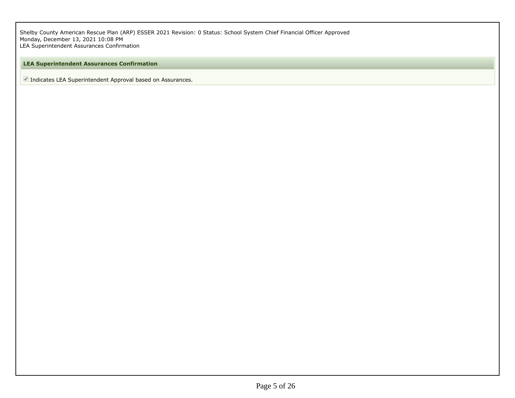Shelby County American Rescue Plan (ARP) ESSER 2021 Revision: 0 Status: School System Chief Financial Officer Approved Monday, December 13, 2021 10:08 PMLEA Superintendent Assurances Confirmation

# **LEA Superintendent Assurances Confirmation**

■ Indicates LEA Superintendent Approval based on Assurances.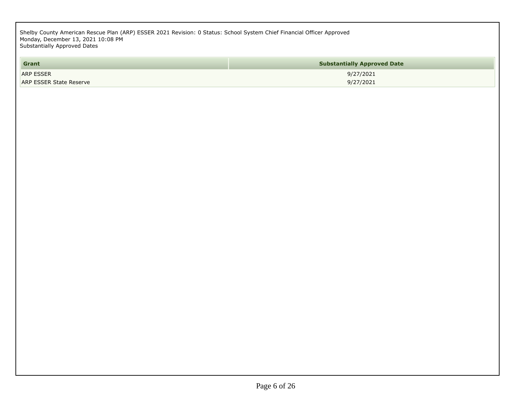Shelby County American Rescue Plan (ARP) ESSER 2021 Revision: 0 Status: School System Chief Financial Officer Approved Monday, December 13, 2021 10:08 PMSubstantially Approved Dates

| Grant                          | <b>Substantially Approved Date</b> |
|--------------------------------|------------------------------------|
| <b>ARP ESSER</b>               | 9/27/2021                          |
| <b>ARP ESSER State Reserve</b> | 9/27/2021                          |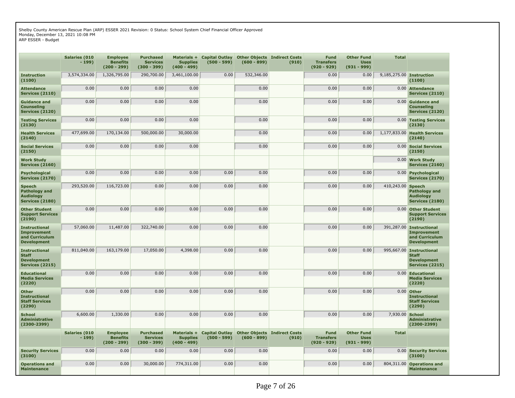Shelby County American Rescue Plan (ARP) ESSER 2021 Revision: 0 Status: School System Chief Financial Officer Approved Monday, December 13, 2021 10:08 PM

ARP ESSER - Budget

|                                                                                    | <b>Salaries (010</b><br>$-199)$ | <b>Employee</b><br><b>Benefits</b><br>$(200 - 299)$ | <b>Purchased</b><br><b>Services</b><br>$(300 - 399)$ | Materials +<br><b>Supplies</b><br>$(400 - 499)$ | <b>Capital Outlay</b><br>$(500 - 599)$ | $(600 - 899)$ | <b>Other Objects Indirect Costs</b><br>(910) | <b>Fund</b><br><b>Transfers</b><br>$(920 - 929)$ | <b>Other Fund</b><br><b>Uses</b><br>$(931 - 999)$ | <b>Total</b>    |                                                                                      |
|------------------------------------------------------------------------------------|---------------------------------|-----------------------------------------------------|------------------------------------------------------|-------------------------------------------------|----------------------------------------|---------------|----------------------------------------------|--------------------------------------------------|---------------------------------------------------|-----------------|--------------------------------------------------------------------------------------|
| <b>Instruction</b><br>(1100)                                                       | 3,574,334.00                    | 1,326,795.00                                        | 290,700.00                                           | 3,461,100.00                                    | 0.00                                   | 532,346.00    |                                              | 0.00                                             | 0.00                                              |                 | 9,185,275.00 Instruction<br>(1100)                                                   |
| <b>Attendance</b><br><b>Services (2110)</b>                                        | 0.00                            | 0.00                                                | 0.00                                                 | 0.00                                            |                                        | 0.00          |                                              | 0.00                                             | 0.00                                              | 0.00            | <b>Attendance</b><br><b>Services (2110)</b>                                          |
| <b>Guidance and</b><br><b>Counseling</b><br><b>Services (2120)</b>                 | 0.00                            | 0.00                                                | 0.00                                                 | 0.00                                            |                                        | 0.00          |                                              | 0.00                                             | 0.00                                              |                 | 0.00 Guidance and<br>Counseling<br><b>Services (2120)</b>                            |
| <b>Testing Services</b><br>(2130)                                                  | 0.00                            | 0.00                                                | 0.00                                                 | 0.00                                            |                                        | 0.00          |                                              | 0.00                                             | 0.00                                              |                 | 0.00 Testing Services<br>(2130)                                                      |
| <b>Health Services</b><br>(2140)                                                   | 477,699.00                      | 170,134.00                                          | 500,000.00                                           | 30,000.00                                       |                                        | 0.00          |                                              | 0.00                                             | 0.00                                              | 1,177,833.00    | <b>Health Services</b><br>(2140)                                                     |
| <b>Social Services</b><br>(2150)                                                   | 0.00                            | 0.00                                                | 0.00                                                 | 0.00                                            |                                        | 0.00          |                                              | 0.00                                             | 0.00                                              |                 | 0.00 Social Services<br>(2150)                                                       |
| <b>Work Study</b><br><b>Services (2160)</b>                                        |                                 |                                                     |                                                      |                                                 |                                        |               |                                              |                                                  |                                                   |                 | 0.00 Work Study<br><b>Services (2160)</b>                                            |
| <b>Psychological</b><br><b>Services (2170)</b>                                     | 0.00                            | 0.00                                                | 0.00                                                 | 0.00                                            | 0.00                                   | 0.00          |                                              | 0.00                                             | 0.00                                              |                 | 0.00 Psychological<br><b>Services (2170)</b>                                         |
| <b>Speech</b><br>Pathology and<br><b>Audiology</b><br><b>Services (2180)</b>       | 293,520.00                      | 116,723.00                                          | 0.00                                                 | 0.00                                            | 0.00                                   | 0.00          |                                              | 0.00                                             | 0.00                                              | 410,243.00      | <b>Speech</b><br>Pathology and<br><b>Audiology</b><br><b>Services (2180)</b>         |
| <b>Other Student</b><br><b>Support Services</b><br>(2190)                          | 0.00                            | 0.00                                                | 0.00                                                 | 0.00                                            | 0.00                                   | 0.00          |                                              | 0.00                                             | 0.00                                              | 0.00            | <b>Other Student</b><br><b>Support Services</b><br>(2190)                            |
| <b>Instructional</b><br><b>Improvement</b><br>and Curriculum<br><b>Development</b> | 57,060.00                       | 11,487.00                                           | 322,740.00                                           | 0.00                                            | 0.00                                   | 0.00          |                                              | 0.00                                             | 0.00                                              | 391,287.00      | <b>Instructional</b><br><b>Improvement</b><br>and Curriculum<br><b>Development</b>   |
| <b>Instructional</b><br><b>Staff</b><br><b>Development</b><br>Services (2215)      | 811,040.00                      | 163,179.00                                          | 17,050.00                                            | 4,398.00                                        | 0.00                                   | 0.00          |                                              | 0.00                                             | 0.00                                              | 995,667.00      | <b>Instructional</b><br><b>Staff</b><br><b>Development</b><br><b>Services (2215)</b> |
| <b>Educational</b><br><b>Media Services</b><br>(2220)                              | 0.00                            | 0.00                                                | 0.00                                                 | 0.00                                            | 0.00                                   | 0.00          |                                              | 0.00                                             | 0.00                                              |                 | 0.00 Educational<br><b>Media Services</b><br>(2220)                                  |
| <b>Other</b><br><b>Instructional</b><br><b>Staff Services</b><br>(2290)            | 0.00                            | 0.00                                                | 0.00                                                 | 0.00                                            | 0.00                                   | 0.00          |                                              | 0.00                                             | 0.00                                              |                 | 0.00 Other<br><b>Instructional</b><br><b>Staff Services</b><br>(2290)                |
| <b>School</b><br><b>Administrative</b><br>$(2300 - 2399)$                          | 6,600.00                        | 1,330.00                                            | 0.00                                                 | 0.00                                            | 0.00                                   | 0.00          |                                              | 0.00                                             | 0.00                                              | 7,930.00 School | <b>Administrative</b><br>$(2300 - 2399)$                                             |
|                                                                                    | Salaries (010<br>$-199)$        | <b>Employee</b><br><b>Benefits</b><br>$(200 - 299)$ | <b>Purchased</b><br><b>Services</b><br>$(300 - 399)$ | Materials +<br><b>Supplies</b><br>$(400 - 499)$ | <b>Capital Outlay</b><br>$(500 - 599)$ | $(600 - 899)$ | <b>Other Objects Indirect Costs</b><br>(910) | <b>Fund</b><br><b>Transfers</b><br>$(920 - 929)$ | <b>Other Fund</b><br><b>Uses</b><br>$(931 - 999)$ | <b>Total</b>    |                                                                                      |
| <b>Security Services</b><br>(3100)                                                 | 0.00                            | 0.00                                                | 0.00                                                 | 0.00                                            | 0.00                                   | 0.00          |                                              | 0.00                                             | 0.00                                              |                 | 0.00 Security Services<br>(3100)                                                     |
| <b>Operations and</b><br><b>Maintenance</b>                                        | 0.00                            | 0.00                                                | 30,000.00                                            | 774,311.00                                      | 0.00                                   | 0.00          |                                              | 0.00                                             | 0.00                                              | 804,311.00      | <b>Operations and</b><br><b>Maintenance</b>                                          |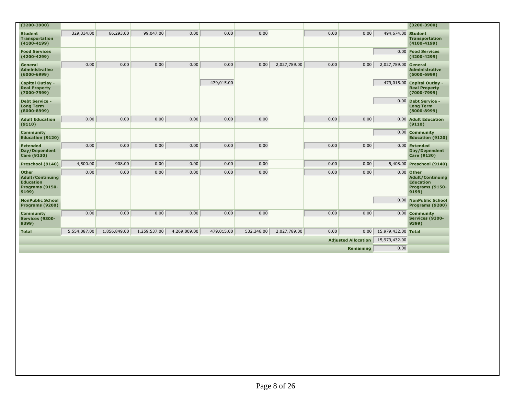| $(3200 - 3900)$                                                                         |              |              |              |              |            |            |              |      |                            |                      | $(3200 - 3900)$                                                                         |
|-----------------------------------------------------------------------------------------|--------------|--------------|--------------|--------------|------------|------------|--------------|------|----------------------------|----------------------|-----------------------------------------------------------------------------------------|
| <b>Student</b><br><b>Transportation</b><br>$(4100 - 4199)$                              | 329,334.00   | 66,293.00    | 99,047.00    | 0.00         | 0.00       | 0.00       |              | 0.00 | 0.00                       | 494,674.00 Student   | <b>Transportation</b><br>$(4100 - 4199)$                                                |
| <b>Food Services</b><br>$(4200 - 4299)$                                                 |              |              |              |              |            |            |              |      |                            |                      | 0.00 Food Services<br>$(4200 - 4299)$                                                   |
| General<br><b>Administrative</b><br>$(6000 - 6999)$                                     | 0.00         | 0.00         | 0.00         | 0.00         | 0.00       | 0.00       | 2,027,789.00 | 0.00 | 0.00                       | 2,027,789.00 General | <b>Administrative</b><br>$(6000 - 6999)$                                                |
| <b>Capital Outlay -</b><br><b>Real Property</b><br>$(7000 - 7999)$                      |              |              |              |              | 479,015.00 |            |              |      |                            |                      | 479,015.00 Capital Outlay -<br><b>Real Property</b><br>$(7000 - 7999)$                  |
| <b>Debt Service -</b><br><b>Long Term</b><br>$(8000 - 8999)$                            |              |              |              |              |            |            |              |      |                            |                      | 0.00 Debt Service -<br><b>Long Term</b><br>$(8000 - 8999)$                              |
| <b>Adult Education</b><br>(9110)                                                        | 0.00         | 0.00         | 0.00         | 0.00         | 0.00       | 0.00       |              | 0.00 | 0.00                       |                      | 0.00 Adult Education<br>(9110)                                                          |
| <b>Community</b><br><b>Education (9120)</b>                                             |              |              |              |              |            |            |              |      |                            |                      | 0.00 Community<br><b>Education (9120)</b>                                               |
| <b>Extended</b><br>Day/Dependent<br><b>Care (9130)</b>                                  | 0.00         | 0.00         | 0.00         | 0.00         | 0.00       | 0.00       |              | 0.00 | 0.00                       |                      | 0.00 Extended<br>Day/Dependent<br><b>Care (9130)</b>                                    |
| Preschool (9140)                                                                        | 4,500.00     | 908.00       | 0.00         | 0.00         | 0.00       | 0.00       |              | 0.00 | 0.00                       |                      | 5,408.00 Preschool (9140)                                                               |
| <b>Other</b><br><b>Adult/Continuing</b><br><b>Education</b><br>Programs (9150-<br>9199) | 0.00         | 0.00         | 0.00         | 0.00         | 0.00       | 0.00       |              | 0.00 | 0.00                       |                      | $0.00$ Other<br><b>Adult/Continuing</b><br><b>Education</b><br>Programs (9150-<br>9199) |
| <b>NonPublic School</b><br>Programs (9200)                                              |              |              |              |              |            |            |              |      |                            |                      | 0.00 NonPublic School<br>Programs (9200)                                                |
| <b>Community</b><br>Services (9300-<br>9399)                                            | 0.00         | 0.00         | 0.00         | 0.00         | 0.00       | 0.00       |              | 0.00 | 0.00                       |                      | 0.00 Community<br>Services (9300-<br>9399)                                              |
| <b>Total</b>                                                                            | 5,554,087.00 | 1,856,849.00 | 1,259,537.00 | 4,269,809.00 | 479,015.00 | 532,346.00 | 2,027,789.00 | 0.00 | 0.00                       | 15,979,432.00 Total  |                                                                                         |
|                                                                                         |              |              |              |              |            |            |              |      | <b>Adjusted Allocation</b> | 15,979,432.00        |                                                                                         |
|                                                                                         |              |              |              |              |            |            |              |      | Remaining                  | 0.00                 |                                                                                         |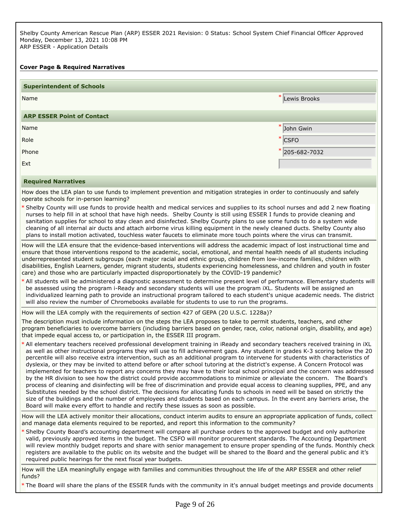Shelby County American Rescue Plan (ARP) ESSER 2021 Revision: 0 Status: School System Chief Financial Officer Approved Monday, December 13, 2021 10:08 PM ARP ESSER - Application Details

# **Cover Page & Required Narratives**

| <b>Superintendent of Schools</b>                                                                                                                                                            |                                                                                                                                                                                                                                                                                                                                                                                                                                                                                                                                                                                                                                                                                                                                                                                                                                                                                                                           |
|---------------------------------------------------------------------------------------------------------------------------------------------------------------------------------------------|---------------------------------------------------------------------------------------------------------------------------------------------------------------------------------------------------------------------------------------------------------------------------------------------------------------------------------------------------------------------------------------------------------------------------------------------------------------------------------------------------------------------------------------------------------------------------------------------------------------------------------------------------------------------------------------------------------------------------------------------------------------------------------------------------------------------------------------------------------------------------------------------------------------------------|
| Name                                                                                                                                                                                        | Lewis Brooks                                                                                                                                                                                                                                                                                                                                                                                                                                                                                                                                                                                                                                                                                                                                                                                                                                                                                                              |
| <b>ARP ESSER Point of Contact</b>                                                                                                                                                           |                                                                                                                                                                                                                                                                                                                                                                                                                                                                                                                                                                                                                                                                                                                                                                                                                                                                                                                           |
| Name                                                                                                                                                                                        | * John Gwin                                                                                                                                                                                                                                                                                                                                                                                                                                                                                                                                                                                                                                                                                                                                                                                                                                                                                                               |
| Role                                                                                                                                                                                        | <b>CSFO</b>                                                                                                                                                                                                                                                                                                                                                                                                                                                                                                                                                                                                                                                                                                                                                                                                                                                                                                               |
| Phone                                                                                                                                                                                       | 205-682-7032                                                                                                                                                                                                                                                                                                                                                                                                                                                                                                                                                                                                                                                                                                                                                                                                                                                                                                              |
| Ext                                                                                                                                                                                         |                                                                                                                                                                                                                                                                                                                                                                                                                                                                                                                                                                                                                                                                                                                                                                                                                                                                                                                           |
| <b>Required Narratives</b>                                                                                                                                                                  |                                                                                                                                                                                                                                                                                                                                                                                                                                                                                                                                                                                                                                                                                                                                                                                                                                                                                                                           |
| operate schools for in-person learning?                                                                                                                                                     | How does the LEA plan to use funds to implement prevention and mitigation strategies in order to continuously and safely                                                                                                                                                                                                                                                                                                                                                                                                                                                                                                                                                                                                                                                                                                                                                                                                  |
|                                                                                                                                                                                             | * Shelby County will use funds to provide health and medical services and supplies to its school nurses and add 2 new floating<br>nurses to help fill in at school that have high needs. Shelby County is still using ESSER I funds to provide cleaning and<br>sanitation supplies for school to stay clean and disinfected. Shelby County plans to use some funds to do a system wide<br>cleaning of all internal air ducts and attach airborne virus killing equipment in the newly cleaned ducts. Shelby County also<br>plans to install motion activated, touchless water faucets to eliminate more touch points where the virus can transmit.                                                                                                                                                                                                                                                                        |
| care) and those who are particularly impacted disproportionately by the COVID-19 pandemic?<br>will also review the number of Chromebooks available for students to use to run the programs. | How will the LEA ensure that the evidence-based interventions will address the academic impact of lost instructional time and<br>ensure that those interventions respond to the academic, social, emotional, and mental health needs of all students including<br>underrepresented student subgroups (each major racial and ethnic group, children from low-income families, children with<br>disabilities, English Learners, gender, migrant students, students experiencing homelessness, and children and youth in foster<br>* All students will be administered a diagnostic assessment to determine present level of performance. Elementary students will<br>be assessed using the program i-Ready and secondary students will use the program iXL. Students will be assigned an<br>individualized learning path to provide an instructional program tailored to each student's unique academic needs. The district |
| How will the LEA comply with the requirements of section 427 of GEPA (20 U.S.C. 1228a)?                                                                                                     |                                                                                                                                                                                                                                                                                                                                                                                                                                                                                                                                                                                                                                                                                                                                                                                                                                                                                                                           |
| that impede equal access to, or participation in, the ESSER III program.                                                                                                                    | The description must include information on the steps the LEA proposes to take to permit students, teachers, and other<br>program beneficiaries to overcome barriers (including barriers based on gender, race, color, national origin, disability, and age)                                                                                                                                                                                                                                                                                                                                                                                                                                                                                                                                                                                                                                                              |
|                                                                                                                                                                                             | * All elementary teachers received professional development training in iReady and secondary teachers received training in iXL<br>as well as other instructional programs they will use to fill achievement gaps. Any student in grades K-3 scoring below the 20<br>percentile will also receive extra intervention, such as an additional program to intervene for students with characteristics of<br>dyslexia, or they may be invited to attend before or after school tutoring at the district's expense. A Concern Protocol was<br>implemented for teachers to report any concerns they may have to their local school principal and the concern was addressed<br>by the HR division to see how the district could provide accommodations to minimize or alleviate the concern. The Board's                                                                                                                          |

process of cleaning and disinfecting will be free of discrimination and provide equal access to cleaning supplies, PPE, and any Substitutes needed by the school district. The decisions for allocating funds to schools in need will be based on strictly the size of the buildings and the number of employees and students based on each campus. In the event any barriers arise, the Board will make every effort to handle and rectify these issues as soon as possible.

How will the LEA actively monitor their allocations, conduct interim audits to ensure an appropriate application of funds, collect and manage data elements required to be reported, and report this information to the community?

Shelby County Board's accounting department will compare all purchase orders to the approved budget and only authorize \* valid, previously approved items in the budget. The CSFO will monitor procurement standards. The Accounting Department will review monthly budget reports and share with senior management to ensure proper spending of the funds. Monthly check registers are available to the public on its website and the budget will be shared to the Board and the general public and it's required public hearings for the next fiscal year budgets.

How will the LEA meaningfully engage with families and communities throughout the life of the ARP ESSER and other relief funds?

\* The Board will share the plans of the ESSER funds with the community in it's annual budget meetings and provide documents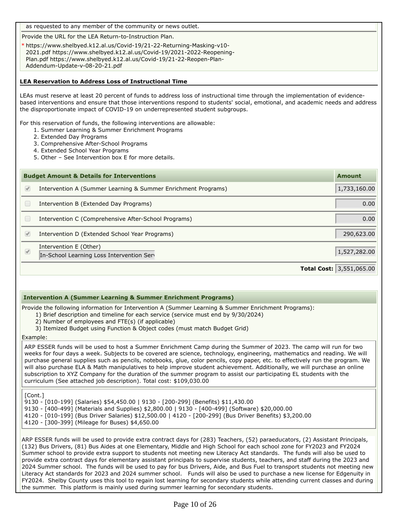as requested to any member of the community or news outlet.

Provide the URL for the LEA Return-to-Instruction Plan.

https://www.shelbyed.k12.al.us/Covid-19/21-22-Returning-Masking-v10- \* 2021.pdf https://www.shelbyed.k12.al.us/Covid-19/2021-2022-Reopening-Plan.pdf https://www.shelbyed.k12.al.us/Covid-19/21-22-Reopen-Plan-Addendum-Update-v-08-20-21.pdf

# **LEA Reservation to Address Loss of Instructional Time**

LEAs must reserve at least 20 percent of funds to address loss of instructional time through the implementation of evidencebased interventions and ensure that those interventions respond to students' social, emotional, and academic needs and address the disproportionate impact of COVID-19 on underrepresented student subgroups.

For this reservation of funds, the following interventions are allowable:

- 1. Summer Learning & Summer Enrichment Programs
- 2. Extended Day Programs
- 3. Comprehensive After-School Programs
- 4. Extended School Year Programs
- 5. Other See Intervention box E for more details.

|            | <b>Budget Amount &amp; Details for Interventions</b>                | <b>Amount</b>                       |
|------------|---------------------------------------------------------------------|-------------------------------------|
| $\sqrt{2}$ | Intervention A (Summer Learning & Summer Enrichment Programs)       | 1,733,160.00                        |
|            | Intervention B (Extended Day Programs)                              | 0.00                                |
|            | Intervention C (Comprehensive After-School Programs)                | 0.00                                |
| V          | Intervention D (Extended School Year Programs)                      | 290,623.00                          |
| $\bigcirc$ | Intervention E (Other)<br>In-School Learning Loss Intervention Serv | 1,527,282.00                        |
|            |                                                                     | <b>Total Cost:</b> $ 3,551,065.00 $ |

### **Intervention A (Summer Learning & Summer Enrichment Programs)**

Provide the following information for Intervention A (Summer Learning & Summer Enrichment Programs):

- 1) Brief description and timeline for each service (service must end by 9/30/2024)
- 2) Number of employees and FTE(s) (if applicable)
- 3) Itemized Budget using Function & Object codes (must match Budget Grid)

Example:

ARP ESSER funds will be used to host a Summer Enrichment Camp during the Summer of 2023. The camp will run for two weeks for four days a week. Subjects to be covered are science, technology, engineering, mathematics and reading. We will purchase general supplies such as pencils, notebooks, glue, color pencils, copy paper, etc. to effectively run the program. We will also purchase ELA & Math manipulatives to help improve student achievement. Additionally, we will purchase an online subscription to XYZ Company for the duration of the summer program to assist our participating EL students with the curriculum (See attached job description). Total cost: \$109,030.00

[Cont.]

9130 - [010-199] (Salaries) \$54,450.00 | 9130 - [200-299] (Benefits) \$11,430.00 9130 - [400-499] (Materials and Supplies) \$2,800.00 | 9130 - [400-499] (Software) \$20,000.00 4120 - [010-199] (Bus Driver Salaries) \$12,500.00 | 4120 - [200-299] (Bus Driver Benefits) \$3,200.00 4120 - [300-399] (Mileage for Buses) \$4,650.00

ARP ESSER funds will be used to provide extra contract days for (283) Teachers, (52) paraeducators, (2) Assistant Principals, (132) Bus Drivers, (81) Bus Aides at one Elementary, Middle and High School for each school zone for FY2023 and FY2024 Summer school to provide extra support to students not meeting new Literacy Act standards. The funds will also be used to provide extra contract days for elementary assistant principals to supervise students, teachers, and staff during the 2023 and 2024 Summer school. The funds will be used to pay for bus Drivers, Aide, and Bus Fuel to transport students not meeting new Literacy Act standards for 2023 and 2024 summer school. Funds will also be used to purchase a new license for Edgenuity in FY2024. Shelby County uses this tool to regain lost learning for secondary students while attending current classes and during the summer. This platform is mainly used during summer learning for secondary students.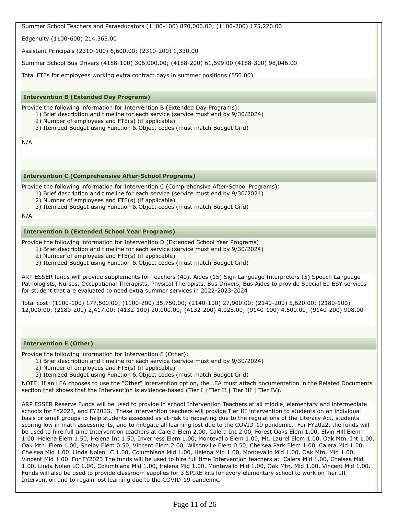Summer School Teachers and Paraeducators (1100-100) 870,000.00; (1100-200) 175,220.00

Edgenuity (1100-600) 214,365.00

Assistant Principals (2310-100) 6,600.00; (2310-200) 1,330.00

Summer School Bus Drivers (4188-100) 306,000.00; (4188-200) 61,599.00 (4188-300) 98,046.00

Total FTEs for employees working extra contract days in summer positions (550.00)

# **Intervention B (Extended Day Programs)**

Provide the following information for Intervention B (Extended Day Programs):

- 1) Brief description and timeline for each service (service must end by 9/30/2024)
	- 2) Number of employees and FTE(s) (if applicable)
	- 3) Itemized Budget using Function & Object codes (must match Budget Grid)

N/A

### **Intervention C (Comprehensive After-School Programs)**

Provide the following information for Intervention C (Comprehensive After-School Programs):

- 1) Brief description and timeline for each service (service must end by 9/30/2024)
- 2) Number of employees and FTE(s) (if applicable)
- 3) Itemized Budget using Function & Object codes (must match Budget Grid)

N/A

# **Intervention D (Extended School Year Programs)**

Provide the following information for Intervention D (Extended School Year Programs):

- 1) Brief description and timeline for each service (service must end by 9/30/2024)
- 2) Number of employees and FTE(s) (if applicable)
- 3) Itemized Budget using Function & Object codes (must match Budget Grid)

ARP ESSER funds will provide supplements for Teachers (40), Aides (15) Sign Language Interpreters (5) Speech Language Pathologists, Nurses, Occupational Therapists, Physical Therapists, Bus Drivers, Bus Aides to provide Special Ed ESY services for student that are evaluated to need extra summer services in 2022-2023-2024

Total cost: (1100-100) 177,500.00; (1100-200) 35,750.00; (2140-100) 27,900.00; (2140-200) 5,620.00; (2180-100) 12,000.00; (2180-200) 2,417.00; (4132-100) 20,000.00; (4132-200) 4,028.00; (9140-100) 4,500.00; (9140-200) 908.00

### **Intervention E (Other)**

Provide the following information for Intervention E (Other):

- 1) Brief description and timeline for each service (service must end by 9/30/2024)
	- 2) Number of employees and FTE(s) (if applicable)
	- 3) Itemized Budget using Function & Object codes (must match Budget Grid)

NOTE: If an LEA chooses to use the "Other" intervention option, the LEA must attach documentation in the Related Documents section that shows that the Intervention is evidence-based (Tier I | Tier II | Tier III | Tier IV).

ARP ESSER Reserve Funds will be used to provide in school Intervention Teachers at all middle, elementary and intermediate schools for FY2022, and FY2023. These intervention teachers will provide Tier III intervention to students on an individual basis or small groups to help students assessed as at-risk to repeating due to the regulations of the Literacy Act, students scoring low in math assessments, and to mitigate all learning lost due to the COVID-19 pandemic. For FY2022, the funds will be used to hire full time Intervention teachers at Calera Elem 2.00, Calera Int 2.00, Forest Oaks Elem 1.00, Elvin Hill Elem 1.00, Helena Elem 1.50, Helena Int 1.50, Inverness Elem 1.00, Montevallo Elem 1.00, Mt. Laurel Elem 1.00, Oak Mtn. Int 1.00, Oak Mtn. Elem 1.00, Shelby Elem 0.50, Vincent Elem 2.00, Wilsonville Elem 0.50, Chelsea Park Elem 1.00, Calera Mid 1.00, Chelsea Mid 1.00, Linda Nolen LC 1.00, Columbiana Mid 1.00, Helena Mid 1.00, Montevallo Mid 1.00, Oak Mtn. Mid 1.00, Vincent Mid 1.00. For FY2023 The funds will be used to hire full time Intervention teachers at Calera Mid 1.00, Chelsea Mid 1.00, Linda Nolen LC 1.00, Columbiana Mid 1.00, Helena Mid 1.00, Montevallo Mid 1.00, Oak Mtn. Mid 1.00, Vincent Mid 1.00. Funds will also be used to provide classroom supplies for 3 SPIRE kits for every elementary school to work on Tier III Intervention and to regain lost learning due to the COVID-19 pandemic.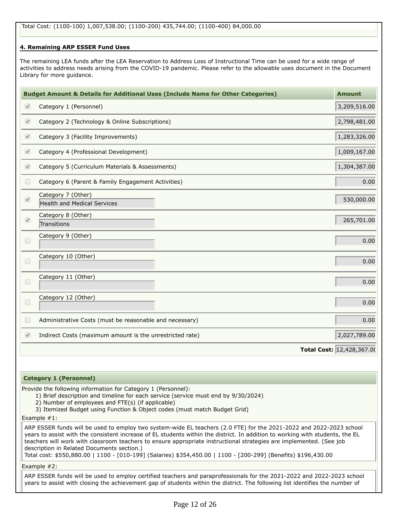# **4. Remaining ARP ESSER Fund Uses**

The remaining LEA funds after the LEA Reservation to Address Loss of Instructional Time can be used for a wide range of activities to address needs arising from the COVID-19 pandemic. Please refer to the allowable uses document in the Document Library for more guidance.

|                          | <b>Budget Amount &amp; Details for Additional Uses (Include Name for Other Categories)</b> | <b>Amount</b>             |
|--------------------------|--------------------------------------------------------------------------------------------|---------------------------|
| $\heartsuit$             | Category 1 (Personnel)                                                                     | 3,209,516.00              |
| $\sqrt{2}$               | Category 2 (Technology & Online Subscriptions)                                             | 2,798,481.00              |
| $\bigcirc$               | Category 3 (Facility Improvements)                                                         | 1,283,326.00              |
| $\bigcirc$               | Category 4 (Professional Development)                                                      | 1,009,167.00              |
| $\heartsuit$             | Category 5 (Curriculum Materials & Assessments)                                            | 1,304,387.00              |
| $\Box$                   | Category 6 (Parent & Family Engagement Activities)                                         | 0.00                      |
| $\bullet$                | Category 7 (Other)<br>Health and Medical Services                                          | 530,000.00                |
| $\overline{\mathscr{C}}$ | Category 8 (Other)<br>Transitions                                                          | 265,701.00                |
| $\Box$                   | Category 9 (Other)                                                                         | 0.00                      |
| $\Box$                   | Category 10 (Other)                                                                        | 0.00                      |
| $\Box$                   | Category 11 (Other)                                                                        | 0.00                      |
| $\Box$                   | Category 12 (Other)                                                                        | 0.00                      |
| $\Box$                   | Administrative Costs (must be reasonable and necessary)                                    | 0.00                      |
| $\sqrt{2}$               | Indirect Costs (maximum amount is the unrestricted rate)                                   | 2,027,789.00              |
|                          |                                                                                            | Total Cost: 12,428,367.00 |

### **Category 1 (Personnel)**

Provide the following information for Category 1 (Personnel):

- 1) Brief description and timeline for each service (service must end by 9/30/2024)
- 2) Number of employees and FTE(s) (if applicable)
- 3) Itemized Budget using Function & Object codes (must match Budget Grid)

Example #1:

ARP ESSER funds will be used to employ two system-wide EL teachers (2.0 FTE) for the 2021-2022 and 2022-2023 school years to assist with the consistent increase of EL students within the district. In addition to working with students, the EL teachers will work with classroom teachers to ensure appropriate instructional strategies are implemented. (See job description in Related Documents section.)

Total cost: \$550,880.00 | 1100 - [010-199] (Salaries) \$354,450.00 | 1100 - [200-299] (Benefits) \$196,430.00

Example #2:

ARP ESSER funds will be used to employ certified teachers and paraprofessionals for the 2021-2022 and 2022-2023 school years to assist with closing the achievement gap of students within the district. The following list identifies the number of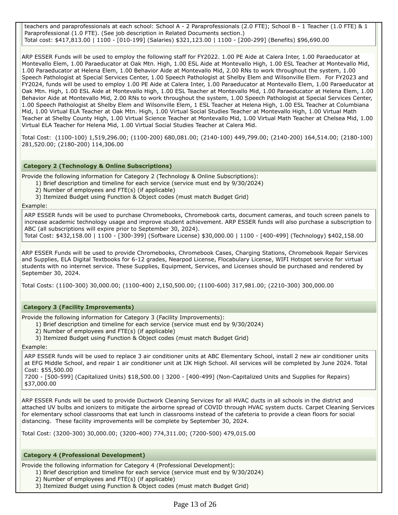teachers and paraprofessionals at each school: School A - 2 Paraprofessionals (2.0 FTE); School B - 1 Teacher (1.0 FTE) & 1 Paraprofessional (1.0 FTE). (See job description in Related Documents section.) Total cost: \$417,813.00 | 1100 - [010-199] (Salaries) \$321,123.00 | 1100 - [200-299] (Benefits) \$96,690.00

ARP ESSER Funds will be used to employ the following staff for FY2022. 1.00 PE Aide at Calera Inter, 1.00 Paraeducator at Montevallo Elem, 1.00 Paraeducator at Oak Mtn. High, 1.00 ESL Aide at Montevallo High, 1.00 ESL Teacher at Montevallo Mid, 1.00 Paraeducator at Helena Elem, 1.00 Behavior Aide at Montevallo Mid, 2.00 RNs to work throughout the system, 1.00 Speech Pathologist at Special Services Center, 1.00 Speech Pathologist at Shelby Elem and Wilsonville Elem. For FY2023 and FY2024, funds will be used to employ 1.00 PE Aide at Calera Inter, 1.00 Paraeducator at Montevallo Elem, 1.00 Paraeducator at Oak Mtn. High, 1.00 ESL Aide at Montevallo High, 1.00 ESL Teacher at Montevallo Mid, 1.00 Paraeducator at Helena Elem, 1.00 Behavior Aide at Montevallo Mid, 2.00 RNs to work throughout the system, 1.00 Speech Pathologist at Special Services Center, 1.00 Speech Pathologist at Shelby Elem and Wilsonville Elem, 1 ESL Teacher at Helena High, 1.00 ESL Teacher at Columbiana Mid, 1.00 Virtual ELA Teacher at Oak Mtn. High, 1.00 Virtual Social Studies Teacher at Montevallo High, 1.00 Virtual Math Teacher at Shelby County High, 1.00 Virtual Science Teacher at Montevallo Mid, 1.00 Virtual Math Teacher at Chelsea Mid, 1.00 Virtual ELA Teacher for Helena Mid, 1.00 Virtual Social Studies Teacher at Calera Mid.

Total Cost: (1100-100) 1,519,296.00; (1100-200) 680,081.00; (2140-100) 449,799.00; (2140-200) 164,514.00; (2180-100) 281,520.00; (2180-200) 114,306.00

# **Category 2 (Technology & Online Subscriptions)**

Provide the following information for Category 2 (Technology & Online Subscriptions):

- 1) Brief description and timeline for each service (service must end by 9/30/2024)
	- 2) Number of employees and FTE(s) (if applicable)
	- 3) Itemized Budget using Function & Object codes (must match Budget Grid)

Example:

ARP ESSER funds will be used to purchase Chromebooks, Chromebook carts, document cameras, and touch screen panels to increase academic technology usage and improve student achievement. ARP ESSER funds will also purchase a subscription to ABC (all subscriptions will expire prior to September 30, 2024).

Total Cost: \$432,158.00 | 1100 - [300-399] (Software License) \$30,000.00 | 1100 - [400-499] (Technology) \$402,158.00

ARP ESSER Funds will be used to provide Chromebooks, Chromebook Cases, Charging Stations, Chromebook Repair Services and Supplies, ELA Digital Textbooks for 6-12 grades, Nearpod License, Flocabulary License, WIFI Hotspot service for virtual students with no internet service. These Supplies, Equipment, Services, and Licenses should be purchased and rendered by September 30, 2024.

Total Costs: (1100-300) 30,000.00; (1100-400) 2,150,500.00; (1100-600) 317,981.00; (2210-300) 300,000.00

# **Category 3 (Facility Improvements)**

Provide the following information for Category 3 (Facility Improvements):

- 1) Brief description and timeline for each service (service must end by 9/30/2024)
- 2) Number of employees and FTE(s) (if applicable)
- 3) Itemized Budget using Function & Object codes (must match Budget Grid)

## Example:

ARP ESSER funds will be used to replace 3 air conditioner units at ABC Elementary School, install 2 new air conditioner units at EFG Middle School, and repair 1 air conditioner unit at IJK High School. All services will be completed by June 2024. Total Cost: \$55,500.00

7200 - [500-599] (Capitalized Units) \$18,500.00 | 3200 - [400-499] (Non-Capitalized Units and Supplies for Repairs) \$37,000.00

ARP ESSER Funds will be used to provide Ductwork Cleaning Services for all HVAC ducts in all schools in the district and attached UV bulbs and ionizers to mitigate the airborne spread of COVID through HVAC system ducts. Carpet Cleaning Services for elementary school classrooms that eat lunch in classrooms instead of the cafeteria to provide a clean floors for social distancing. These facility improvements will be complete by September 30, 2024.

Total Cost: (3200-300) 30,000.00; (3200-400) 774,311.00; (7200-500) 479,015.00

### **Category 4 (Professional Development)**

Provide the following information for Category 4 (Professional Development):

- 1) Brief description and timeline for each service (service must end by 9/30/2024)
	- 2) Number of employees and FTE(s) (if applicable)
	- 3) Itemized Budget using Function & Object codes (must match Budget Grid)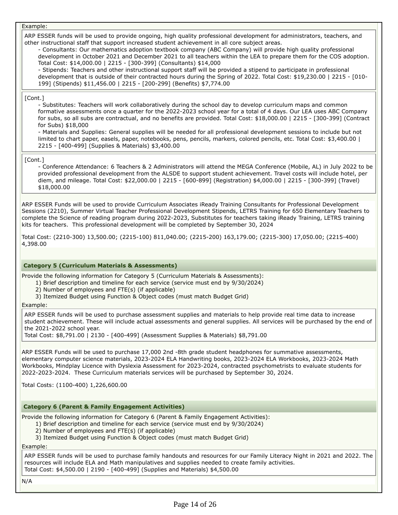### Example:

ARP ESSER funds will be used to provide ongoing, high quality professional development for administrators, teachers, and other instructional staff that support increased student achievement in all core subject areas.

- Consultants: Our mathematics adoption textbook company (ABC Company) will provide high quality professional development in October 2021 and December 2021 to all teachers within the LEA to prepare them for the COS adoption. Total Cost: \$14,000.00 | 2215 - [300-399] (Consultants) \$14,000

- Stipends: Teachers and other instructional support staff will be provided a stipend to participate in professional development that is outside of their contracted hours during the Spring of 2022. Total Cost: \$19,230.00 | 2215 - [010- 199] (Stipends) \$11,456.00 | 2215 - [200-299] (Benefits) \$7,774.00

### [Cont.]

- Substitutes: Teachers will work collaboratively during the school day to develop curriculum maps and common formative assessments once a quarter for the 2022-2023 school year for a total of 4 days. Our LEA uses ABC Company for subs, so all subs are contractual, and no benefits are provided. Total Cost: \$18,000.00 | 2215 - [300-399] (Contract for Subs) \$18,000

- Materials and Supplies: General supplies will be needed for all professional development sessions to include but not limited to chart paper, easels, paper, notebooks, pens, pencils, markers, colored pencils, etc. Total Cost: \$3,400.00 | 2215 - [400-499] (Supplies & Materials) \$3,400.00

#### [Cont.]

- Conference Attendance: 6 Teachers & 2 Administrators will attend the MEGA Conference (Mobile, AL) in July 2022 to be provided professional development from the ALSDE to support student achievement. Travel costs will include hotel, per diem, and mileage. Total Cost: \$22,000.00 | 2215 - [600-899] (Registration) \$4,000.00 | 2215 - [300-399] (Travel) \$18,000.00

ARP ESSER Funds will be used to provide Curriculum Associates iReady Training Consultants for Professional Development Sessions (2210), Summer Virtual Teacher Professional Development Stipends, LETRS Training for 650 Elementary Teachers to complete the Science of reading program during 2022-2023, Substitutes for teachers taking iReady Training, LETRS training kits for teachers. This professional development will be completed by September 30, 2024

Total Cost: (2210-300) 13,500.00; (2215-100) 811,040.00; (2215-200) 163,179.00; (2215-300) 17,050.00; (2215-400) 4,398.00

### **Category 5 (Curriculum Materials & Assessments)**

Provide the following information for Category 5 (Curriculum Materials & Assessments):

- 1) Brief description and timeline for each service (service must end by 9/30/2024)
- 2) Number of employees and FTE(s) (if applicable)
- 3) Itemized Budget using Function & Object codes (must match Budget Grid)

Example:

ARP ESSER funds will be used to purchase assessment supplies and materials to help provide real time data to increase student achievement. These will include actual assessments and general supplies. All services will be purchased by the end of the 2021-2022 school year.

Total Cost: \$8,791.00 | 2130 - [400-499] (Assessment Supplies & Materials) \$8,791.00

ARP ESSER Funds will be used to purchase 17,000 2nd -8th grade student headphones for summative assessments, elementary computer science materials, 2023-2024 ELA Handwriting books, 2023-2024 ELA Workbooks, 2023-2024 Math Workbooks, Mindplay Licence with Dyslexia Assessment for 2023-2024, contracted psychometrists to evaluate students for 2022-2023-2024. These Curriculum materials services will be purchased by September 30, 2024.

Total Costs: (1100-400) 1,226,600.00

### **Category 6 (Parent & Family Engagement Activities)**

Provide the following information for Category 6 (Parent & Family Engagement Activities):

- 1) Brief description and timeline for each service (service must end by 9/30/2024)
	- 2) Number of employees and FTE(s) (if applicable)
	- 3) Itemized Budget using Function & Object codes (must match Budget Grid)

### Example:

ARP ESSER funds will be used to purchase family handouts and resources for our Family Literacy Night in 2021 and 2022. The resources will include ELA and Math manipulatives and supplies needed to create family activities. Total Cost: \$4,500.00 | 2190 - [400-499] (Supplies and Materials) \$4,500.00

N/A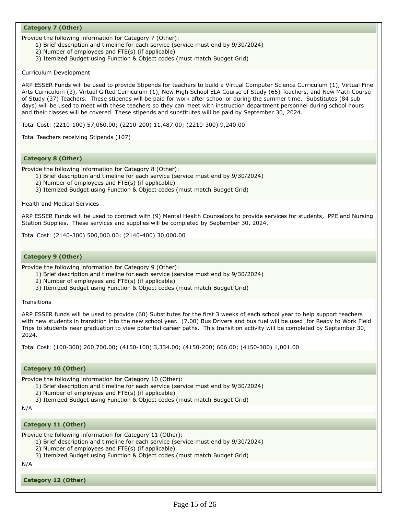# **Category 7 (Other)**

Provide the following information for Category 7 (Other):

- 1) Brief description and timeline for each service (service must end by 9/30/2024)
- 2) Number of employees and FTE(s) (if applicable)
- 3) Itemized Budget using Function & Object codes (must match Budget Grid)

Curriculum Development

ARP ESSER Funds will be used to provide Stipends for teachers to build a Virtual Computer Science Curriculum (1), Virtual Fine Arts Curriculum (3), Virtual Gifted Curriculum (1), New High School ELA Course of Study (65) Teachers, and New Math Course of Study (37) Teachers. These stipends will be paid for work after school or during the summer time. Substitutes (84 sub days) will be used to meet with these teachers so they can meet with instruction department personnel during school hours and their classes will be covered. These stipends and substitutes will be paid by September 30, 2024.

Total Cost: (2210-100) 57,060.00; (2210-200) 11,487.00; (2210-300) 9,240.00

Total Teachers receiving Stipends (107)

### **Category 8 (Other)**

Provide the following information for Category 8 (Other):

1) Brief description and timeline for each service (service must end by 9/30/2024)

- 2) Number of employees and FTE(s) (if applicable)
- 3) Itemized Budget using Function & Object codes (must match Budget Grid)

Health and Medical Services

ARP ESSER Funds will be used to contract with (9) Mental Health Counselors to provide services for students, PPE and Nursing Station Supplies. These services and supplies will be completed by September 30, 2024.

Total Cost: (2140-300) 500,000.00; (2140-400) 30,000.00

## **Category 9 (Other)**

Provide the following information for Category 9 (Other):

- 1) Brief description and timeline for each service (service must end by 9/30/2024)
- 2) Number of employees and FTE(s) (if applicable)
- 3) Itemized Budget using Function & Object codes (must match Budget Grid)

**Transitions** 

ARP ESSER funds will be used to provide (60) Substitutes for the first 3 weeks of each school year to help support teachers with new students in transition into the new school year. (7.00) Bus Drivers and bus fuel will be used for Ready to Work Field Trips to students near graduation to view potential career paths. This transition activity will be completed by September 30, 2024.

Total Cost: (100-300) 260,700.00; (4150-100) 3,334.00; (4150-200) 666.00; (4150-300) 1,001.00

## **Category 10 (Other)**

Provide the following information for Category 10 (Other):

- 1) Brief description and timeline for each service (service must end by 9/30/2024)
- 2) Number of employees and FTE(s) (if applicable)
- 3) Itemized Budget using Function & Object codes (must match Budget Grid)

N/A

### **Category 11 (Other)**

Provide the following information for Category 11 (Other):

- 1) Brief description and timeline for each service (service must end by 9/30/2024)
- 2) Number of employees and FTE(s) (if applicable)
- 3) Itemized Budget using Function & Object codes (must match Budget Grid)

N/A

**Category 12 (Other)**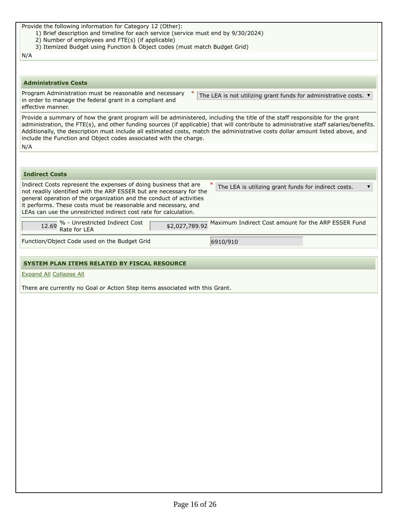| Provide the following information for Category 12 (Other):<br>1) Brief description and timeline for each service (service must end by 9/30/2024)<br>2) Number of employees and FTE(s) (if applicable)<br>3) Itemized Budget using Function & Object codes (must match Budget Grid)                                                                                                                                                                                                 |
|------------------------------------------------------------------------------------------------------------------------------------------------------------------------------------------------------------------------------------------------------------------------------------------------------------------------------------------------------------------------------------------------------------------------------------------------------------------------------------|
| N/A                                                                                                                                                                                                                                                                                                                                                                                                                                                                                |
|                                                                                                                                                                                                                                                                                                                                                                                                                                                                                    |
| <b>Administrative Costs</b>                                                                                                                                                                                                                                                                                                                                                                                                                                                        |
| Program Administration must be reasonable and necessary<br>The LEA is not utilizing grant funds for administrative costs. $\blacktriangledown$<br>in order to manage the federal grant in a compliant and<br>effective manner.                                                                                                                                                                                                                                                     |
| Provide a summary of how the grant program will be administered, including the title of the staff responsible for the grant<br>administration, the FTE(s), and other funding sources (if applicable) that will contribute to administrative staff salaries/benefits.<br>Additionally, the description must include all estimated costs, match the administrative costs dollar amount listed above, and<br>include the Function and Object codes associated with the charge.<br>N/A |
|                                                                                                                                                                                                                                                                                                                                                                                                                                                                                    |
| <b>Indirect Costs</b>                                                                                                                                                                                                                                                                                                                                                                                                                                                              |
| Indirect Costs represent the expenses of doing business that are<br>The LEA is utilizing grant funds for indirect costs.<br>▼<br>not readily identified with the ARP ESSER but are necessary for the<br>general operation of the organization and the conduct of activities<br>it performs. These costs must be reasonable and necessary, and<br>LEAs can use the unrestricted indirect cost rate for calculation.                                                                 |
| $\frac{12.69}{12.69}$ % - Unrestricted Indirect Cost<br>Maximum Indirect Cost amount for the ARP ESSER Fund<br>\$2,027,789.92                                                                                                                                                                                                                                                                                                                                                      |
| Function/Object Code used on the Budget Grid<br>6910/910                                                                                                                                                                                                                                                                                                                                                                                                                           |
|                                                                                                                                                                                                                                                                                                                                                                                                                                                                                    |
|                                                                                                                                                                                                                                                                                                                                                                                                                                                                                    |
| <b>SYSTEM PLAN ITEMS RELATED BY FISCAL RESOURCE</b>                                                                                                                                                                                                                                                                                                                                                                                                                                |
| <b>Expand All Collapse All</b>                                                                                                                                                                                                                                                                                                                                                                                                                                                     |
| There are currently no Goal or Action Step items associated with this Grant.                                                                                                                                                                                                                                                                                                                                                                                                       |
|                                                                                                                                                                                                                                                                                                                                                                                                                                                                                    |
|                                                                                                                                                                                                                                                                                                                                                                                                                                                                                    |
|                                                                                                                                                                                                                                                                                                                                                                                                                                                                                    |
|                                                                                                                                                                                                                                                                                                                                                                                                                                                                                    |
|                                                                                                                                                                                                                                                                                                                                                                                                                                                                                    |
|                                                                                                                                                                                                                                                                                                                                                                                                                                                                                    |
|                                                                                                                                                                                                                                                                                                                                                                                                                                                                                    |
|                                                                                                                                                                                                                                                                                                                                                                                                                                                                                    |
|                                                                                                                                                                                                                                                                                                                                                                                                                                                                                    |
|                                                                                                                                                                                                                                                                                                                                                                                                                                                                                    |
|                                                                                                                                                                                                                                                                                                                                                                                                                                                                                    |
|                                                                                                                                                                                                                                                                                                                                                                                                                                                                                    |
|                                                                                                                                                                                                                                                                                                                                                                                                                                                                                    |
|                                                                                                                                                                                                                                                                                                                                                                                                                                                                                    |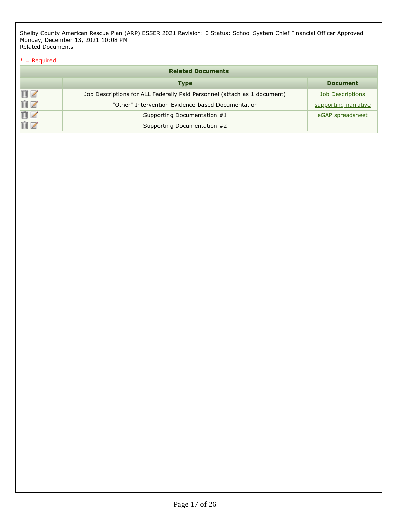Shelby County American Rescue Plan (ARP) ESSER 2021 Revision: 0 Status: School System Chief Financial Officer Approved Monday, December 13, 2021 10:08 PM Related Documents

# $*$  = Required

|    | <b>Related Documents</b>                                                 |                         |
|----|--------------------------------------------------------------------------|-------------------------|
|    | <b>Type</b>                                                              | <b>Document</b>         |
| ÛZ | Job Descriptions for ALL Federally Paid Personnel (attach as 1 document) | <b>Job Descriptions</b> |
| ÛZ | "Other" Intervention Evidence-based Documentation                        | supporting narrative    |
| ÛZ | Supporting Documentation #1                                              | eGAP spreadsheet        |
| ΠZ | Supporting Documentation #2                                              |                         |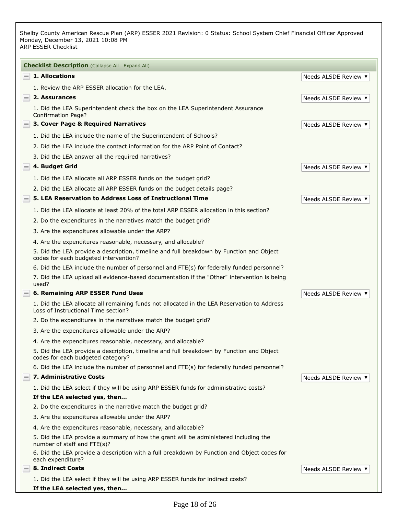Shelby County American Rescue Plan (ARP) ESSER 2021 Revision: 0 Status: School System Chief Financial Officer Approved Monday, December 13, 2021 10:08 PM ARP ESSER Checklist

| <b>Checklist Description</b> (Collapse All Expand All)                                                                             |                           |
|------------------------------------------------------------------------------------------------------------------------------------|---------------------------|
| 1. Allocations<br>$=$                                                                                                              | Needs ALSDE Review ▼      |
| 1. Review the ARP ESSER allocation for the LEA.                                                                                    |                           |
| 2. Assurances<br>$-1$                                                                                                              | Needs ALSDE Review ▼      |
| 1. Did the LEA Superintendent check the box on the LEA Superintendent Assurance<br><b>Confirmation Page?</b>                       |                           |
| 3. Cover Page & Required Narratives                                                                                                | Needs ALSDE Review ▼      |
| 1. Did the LEA include the name of the Superintendent of Schools?                                                                  |                           |
| 2. Did the LEA include the contact information for the ARP Point of Contact?                                                       |                           |
| 3. Did the LEA answer all the required narratives?                                                                                 |                           |
| 4. Budget Grid<br>$=$ $\overline{ }$                                                                                               | <b>Needs ALSDE Review</b> |
| 1. Did the LEA allocate all ARP ESSER funds on the budget grid?                                                                    |                           |
| 2. Did the LEA allocate all ARP ESSER funds on the budget details page?                                                            |                           |
| 5. LEA Reservation to Address Loss of Instructional Time<br>$-1$                                                                   | Needs ALSDE Review ▼      |
| 1. Did the LEA allocate at least 20% of the total ARP ESSER allocation in this section?                                            |                           |
| 2. Do the expenditures in the narratives match the budget grid?                                                                    |                           |
| 3. Are the expenditures allowable under the ARP?                                                                                   |                           |
| 4. Are the expenditures reasonable, necessary, and allocable?                                                                      |                           |
| 5. Did the LEA provide a description, timeline and full breakdown by Function and Object<br>codes for each budgeted intervention?  |                           |
| 6. Did the LEA include the number of personnel and FTE(s) for federally funded personnel?                                          |                           |
| 7. Did the LEA upload all evidence-based documentation if the "Other" intervention is being<br>used?                               |                           |
| 6. Remaining ARP ESSER Fund Uses<br>$=$ $\overline{ }$                                                                             | Needs ALSDE Review ▼      |
| 1. Did the LEA allocate all remaining funds not allocated in the LEA Reservation to Address<br>Loss of Instructional Time section? |                           |
| 2. Do the expenditures in the narratives match the budget grid?                                                                    |                           |
| 3. Are the expenditures allowable under the ARP?                                                                                   |                           |
| 4. Are the expenditures reasonable, necessary, and allocable?                                                                      |                           |
| 5. Did the LEA provide a description, timeline and full breakdown by Function and Object<br>codes for each budgeted category?      |                           |
| 6. Did the LEA include the number of personnel and FTE(s) for federally funded personnel?                                          |                           |
| 7. Administrative Costs<br>-1                                                                                                      | Needs ALSDE Review ▼      |
| 1. Did the LEA select if they will be using ARP ESSER funds for administrative costs?                                              |                           |
| If the LEA selected yes, then                                                                                                      |                           |
| 2. Do the expenditures in the narrative match the budget grid?                                                                     |                           |
| 3. Are the expenditures allowable under the ARP?                                                                                   |                           |
| 4. Are the expenditures reasonable, necessary, and allocable?                                                                      |                           |
| 5. Did the LEA provide a summary of how the grant will be administered including the<br>number of staff and FTE(s)?                |                           |
| 6. Did the LEA provide a description with a full breakdown by Function and Object codes for<br>each expenditure?                   |                           |
| $\equiv$ 8. Indirect Costs                                                                                                         | Needs ALSDE Review ▼      |
| 1. Did the LEA select if they will be using ARP ESSER funds for indirect costs?<br>If the LEA selected yes, then                   |                           |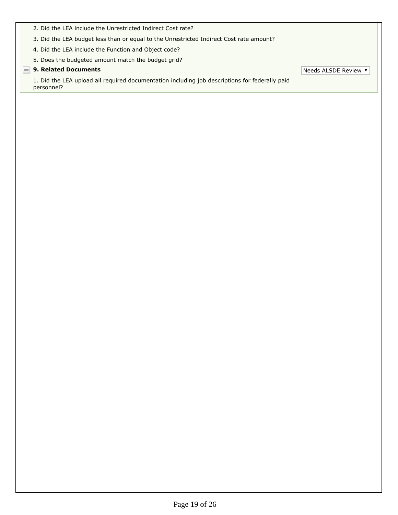- 2. Did the LEA include the Unrestricted Indirect Cost rate?
- 3. Did the LEA budget less than or equal to the Unrestricted Indirect Cost rate amount?
- 4. Did the LEA include the Function and Object code?
- 5. Does the budgeted amount match the budget grid?

# **9. Related Documents** The Community of the Community of the Community of the Needs ALSDE Review The Needs ALSDE Review The Community of the Community of the Community of the Community of the Community of the Community of

1. Did the LEA upload all required documentation including job descriptions for federally paid personnel?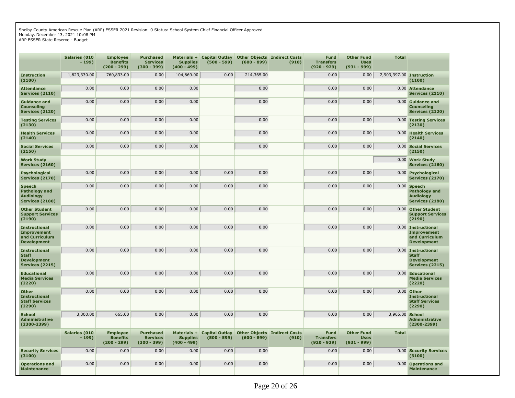Shelby County American Rescue Plan (ARP) ESSER 2021 Revision: 0 Status: School System Chief Financial Officer Approved Monday, December 13, 2021 10:08 PM

ARP ESSER State Reserve - Budget

|                                                                                      | <b>Salaries (010</b><br>$-199)$ | <b>Employee</b><br><b>Benefits</b><br>$(200 - 299)$ | <b>Purchased</b><br><b>Services</b><br>$(300 - 399)$ | Materials +<br><b>Supplies</b><br>$(400 - 499)$ | <b>Capital Outlay</b><br>$(500 - 599)$ | $(600 - 899)$ | <b>Other Objects Indirect Costs</b><br>(910) | <b>Fund</b><br><b>Transfers</b><br>$(920 - 929)$ | <b>Other Fund</b><br><b>Uses</b><br>$(931 - 999)$ | <b>Total</b> |                                                                                  |
|--------------------------------------------------------------------------------------|---------------------------------|-----------------------------------------------------|------------------------------------------------------|-------------------------------------------------|----------------------------------------|---------------|----------------------------------------------|--------------------------------------------------|---------------------------------------------------|--------------|----------------------------------------------------------------------------------|
| <b>Instruction</b><br>(1100)                                                         | 1,823,330.00                    | 760,833.00                                          | 0.00                                                 | 104,869.00                                      | 0.00                                   | 214,365.00    |                                              | 0.00                                             | 0.00                                              |              | 2,903,397.00 Instruction<br>(1100)                                               |
| <b>Attendance</b><br><b>Services (2110)</b>                                          | 0.00                            | 0.00                                                | 0.00                                                 | 0.00                                            |                                        | 0.00          |                                              | 0.00                                             | 0.00                                              | 0.00         | <b>Attendance</b><br><b>Services (2110)</b>                                      |
| <b>Guidance and</b><br><b>Counseling</b><br>Services (2120)                          | 0.00                            | 0.00                                                | 0.00                                                 | 0.00                                            |                                        | 0.00          |                                              | 0.00                                             | 0.00                                              |              | 0.00 Guidance and<br>Counseling<br><b>Services (2120)</b>                        |
| <b>Testing Services</b><br>(2130)                                                    | 0.00                            | 0.00                                                | 0.00                                                 | 0.00                                            |                                        | 0.00          |                                              | 0.00                                             | 0.00                                              |              | 0.00 Testing Services<br>(2130)                                                  |
| <b>Health Services</b><br>(2140)                                                     | 0.00                            | 0.00                                                | 0.00                                                 | 0.00                                            |                                        | 0.00          |                                              | 0.00                                             | 0.00                                              |              | 0.00 Health Services<br>(2140)                                                   |
| <b>Social Services</b><br>(2150)                                                     | 0.00                            | 0.00                                                | 0.00                                                 | 0.00                                            |                                        | 0.00          |                                              | 0.00                                             | 0.00                                              |              | 0.00 Social Services<br>(2150)                                                   |
| <b>Work Study</b><br><b>Services (2160)</b>                                          |                                 |                                                     |                                                      |                                                 |                                        |               |                                              |                                                  |                                                   |              | 0.00 Work Study<br><b>Services (2160)</b>                                        |
| <b>Psychological</b><br><b>Services (2170)</b>                                       | 0.00                            | 0.00                                                | 0.00                                                 | 0.00                                            | 0.00                                   | 0.00          |                                              | 0.00                                             | 0.00                                              |              | 0.00 Psychological<br><b>Services (2170)</b>                                     |
| <b>Speech</b><br>Pathology and<br><b>Audiology</b><br><b>Services (2180)</b>         | 0.00                            | 0.00                                                | 0.00                                                 | 0.00                                            | 0.00                                   | 0.00          |                                              | 0.00                                             | 0.00                                              |              | $0.00$ Speech<br>Pathology and<br><b>Audiology</b><br>Services (2180)            |
| <b>Other Student</b><br><b>Support Services</b><br>(2190)                            | 0.00                            | 0.00                                                | 0.00                                                 | 0.00                                            | 0.00                                   | 0.00          |                                              | 0.00                                             | 0.00                                              | 0.00         | <b>Other Student</b><br><b>Support Services</b><br>(2190)                        |
| <b>Instructional</b><br><b>Improvement</b><br>and Curriculum<br><b>Development</b>   | 0.00                            | 0.00                                                | 0.00                                                 | 0.00                                            | 0.00                                   | 0.00          |                                              | 0.00                                             | 0.00                                              |              | 0.00 Instructional<br><b>Improvement</b><br>and Curriculum<br><b>Development</b> |
| <b>Instructional</b><br><b>Staff</b><br><b>Development</b><br><b>Services (2215)</b> | 0.00                            | 0.00                                                | 0.00                                                 | 0.00                                            | 0.00                                   | 0.00          |                                              | 0.00                                             | 0.00                                              |              | 0.00 Instructional<br><b>Staff</b><br><b>Development</b><br>Services (2215)      |
| <b>Educational</b><br><b>Media Services</b><br>(2220)                                | 0.00                            | 0.00                                                | 0.00                                                 | 0.00                                            | 0.00                                   | 0.00          |                                              | 0.00                                             | 0.00                                              |              | 0.00 Educational<br>Media Services<br>(2220)                                     |
| <b>Other</b><br><b>Instructional</b><br><b>Staff Services</b><br>(2290)              | 0.00                            | 0.00                                                | 0.00                                                 | 0.00                                            | 0.00                                   | 0.00          |                                              | 0.00                                             | 0.00                                              |              | 0.00 Other<br><b>Instructional</b><br><b>Staff Services</b><br>(2290)            |
| <b>School</b><br><b>Administrative</b><br>$(2300 - 2399)$                            | 3,300.00                        | 665.00                                              | 0.00                                                 | 0.00                                            | 0.00                                   | 0.00          |                                              | 0.00                                             | 0.00                                              | 3,965.00     | <b>School</b><br><b>Administrative</b><br>$(2300 - 2399)$                        |
|                                                                                      | <b>Salaries (010</b><br>$-199)$ | <b>Employee</b><br><b>Benefits</b><br>$(200 - 299)$ | Purchased<br><b>Services</b><br>$(300 - 399)$        | Materials +<br><b>Supplies</b><br>$(400 - 499)$ | <b>Capital Outlay</b><br>$(500 - 599)$ | $(600 - 899)$ | <b>Other Objects Indirect Costs</b><br>(910) | <b>Fund</b><br><b>Transfers</b><br>$(920 - 929)$ | <b>Other Fund</b><br><b>Uses</b><br>$(931 - 999)$ | <b>Total</b> |                                                                                  |
| <b>Security Services</b><br>(3100)                                                   | 0.00                            | 0.00                                                | 0.00                                                 | 0.00                                            | 0.00                                   | 0.00          |                                              | 0.00                                             | 0.00                                              |              | 0.00 Security Services<br>(3100)                                                 |
| <b>Operations and</b><br><b>Maintenance</b>                                          | 0.00                            | 0.00                                                | 0.00                                                 | 0.00                                            | 0.00                                   | 0.00          |                                              | 0.00                                             | 0.00                                              |              | 0.00 Operations and<br><b>Maintenance</b>                                        |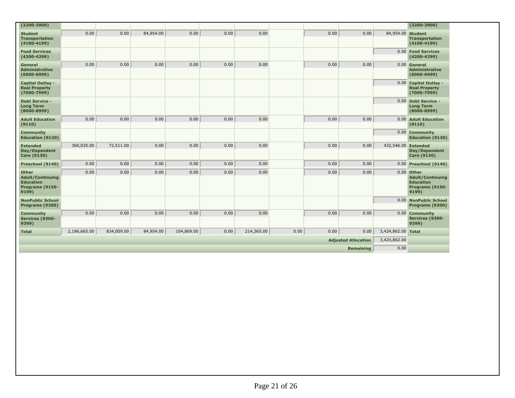| $(3200 - 3900)$                                                                         |              |            |           |            |      |            |      |      |                            |                     | $(3200 - 3900)$                                                                         |
|-----------------------------------------------------------------------------------------|--------------|------------|-----------|------------|------|------------|------|------|----------------------------|---------------------|-----------------------------------------------------------------------------------------|
| <b>Student</b><br><b>Transportation</b><br>$(4100 - 4199)$                              | 0.00         | 0.00       | 84,954.00 | 0.00       | 0.00 | 0.00       |      | 0.00 | 0.00                       | 84,954.00 Student   | <b>Transportation</b><br>$(4100 - 4199)$                                                |
| <b>Food Services</b><br>$(4200 - 4299)$                                                 |              |            |           |            |      |            |      |      |                            |                     | 0.00 Food Services<br>$(4200 - 4299)$                                                   |
| General<br><b>Administrative</b><br>$(6000 - 6999)$                                     | 0.00         | 0.00       | 0.00      | 0.00       | 0.00 | 0.00       |      | 0.00 | 0.00                       |                     | 0.00 General<br><b>Administrative</b><br>$(6000 - 6999)$                                |
| <b>Capital Outlay -</b><br><b>Real Property</b><br>$(7000 - 7999)$                      |              |            |           |            |      |            |      |      |                            |                     | 0.00 Capital Outlay -<br><b>Real Property</b><br>$(7000 - 7999)$                        |
| <b>Debt Service -</b><br><b>Long Term</b><br>$(8000 - 8999)$                            |              |            |           |            |      |            |      |      |                            |                     | 0.00 Debt Service -<br><b>Long Term</b><br>$(8000 - 8999)$                              |
| <b>Adult Education</b><br>(9110)                                                        | 0.00         | 0.00       | 0.00      | 0.00       | 0.00 | 0.00       |      | 0.00 | 0.00                       |                     | 0.00 Adult Education<br>(9110)                                                          |
| <b>Community</b><br><b>Education (9120)</b>                                             |              |            |           |            |      |            |      |      |                            |                     | 0.00 Community<br><b>Education (9120)</b>                                               |
| <b>Extended</b><br>Day/Dependent<br><b>Care (9130)</b>                                  | 360,035.00   | 72,511.00  | 0.00      | 0.00       | 0.00 | 0.00       |      | 0.00 | 0.00                       | 432,546.00 Extended | Day/Dependent<br><b>Care (9130)</b>                                                     |
| Preschool (9140)                                                                        | 0.00         | 0.00       | 0.00      | 0.00       | 0.00 | 0.00       |      | 0.00 | 0.00                       |                     | 0.00 Preschool (9140)                                                                   |
| <b>Other</b><br><b>Adult/Continuing</b><br><b>Education</b><br>Programs (9150-<br>9199) | 0.00         | 0.00       | 0.00      | 0.00       | 0.00 | 0.00       |      | 0.00 | 0.00                       |                     | $0.00$ Other<br><b>Adult/Continuing</b><br><b>Education</b><br>Programs (9150-<br>9199) |
| <b>NonPublic School</b><br>Programs (9200)                                              |              |            |           |            |      |            |      |      |                            |                     | 0.00 NonPublic School<br>Programs (9200)                                                |
| <b>Community</b><br>Services (9300-<br>9399)                                            | 0.00         | 0.00       | 0.00      | 0.00       | 0.00 | 0.00       |      | 0.00 | 0.00                       |                     | 0.00 Community<br>Services (9300-<br>9399)                                              |
| <b>Total</b>                                                                            | 2,186,665.00 | 834,009.00 | 84,954.00 | 104,869.00 | 0.00 | 214,365.00 | 0.00 | 0.00 | 0.00                       | 3,424,862.00 Total  |                                                                                         |
|                                                                                         |              |            |           |            |      |            |      |      | <b>Adjusted Allocation</b> | 3,424,862.00        |                                                                                         |
|                                                                                         |              |            |           |            |      |            |      |      | Remaining                  | 0.00                |                                                                                         |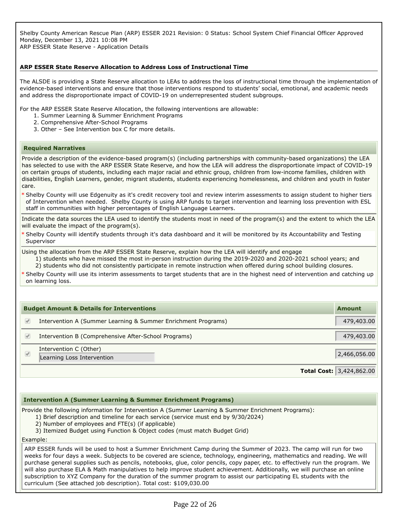Shelby County American Rescue Plan (ARP) ESSER 2021 Revision: 0 Status: School System Chief Financial Officer Approved Monday, December 13, 2021 10:08 PM ARP ESSER State Reserve - Application Details

# **ARP ESSER State Reserve Allocation to Address Loss of Instructional Time**

The ALSDE is providing a State Reserve allocation to LEAs to address the loss of instructional time through the implementation of evidence-based interventions and ensure that those interventions respond to students' social, emotional, and academic needs and address the disproportionate impact of COVID-19 on underrepresented student subgroups.

For the ARP ESSER State Reserve Allocation, the following interventions are allowable:

- 1. Summer Learning & Summer Enrichment Programs
- 2. Comprehensive After-School Programs
- 3. Other See Intervention box C for more details.

#### **Required Narratives**

Provide a description of the evidence-based program(s) (including partnerships with community-based organizations) the LEA has selected to use with the ARP ESSER State Reserve, and how the LEA will address the disproportionate impact of COVID-19 on certain groups of students, including each major racial and ethnic group, children from low-income families, children with disabilities, English Learners, gender, migrant students, students experiencing homelessness, and children and youth in foster care.

Shelby County will use Edgenuity as it's credit recovery tool and review interim assessments to assign student to higher tiers \* of Intervention when needed. Shelby County is using ARP funds to target intervention and learning loss prevention with ESL staff in communities with higher percentages of English Language Learners.

Indicate the data sources the LEA used to identify the students most in need of the program(s) and the extent to which the LEA will evaluate the impact of the program(s).

Shelby County will identify students through it's data dashboard and it will be monitored by its Accountability and Testing \* **Supervisor** 

Using the allocation from the ARP ESSER State Reserve, explain how the LEA will identify and engage

1) students who have missed the most in-person instruction during the 2019-2020 and 2020-2021 school years; and 2) students who did not consistently participate in remote instruction when offered during school building closures.

Shelby County will use its interim assessments to target students that are in the highest need of intervention and catching up \* on learning loss.

| <b>Budget Amount &amp; Details for Interventions</b> |                                                               |                                 |
|------------------------------------------------------|---------------------------------------------------------------|---------------------------------|
|                                                      | Intervention A (Summer Learning & Summer Enrichment Programs) | 479,403.00                      |
|                                                      | Intervention B (Comprehensive After-School Programs)          | 479,403.00                      |
| $\sqrt{2}$                                           | Intervention C (Other)<br>Learning Loss Intervention          | 2,466,056.00                    |
|                                                      |                                                               | <b>Total Cost: 3,424,862.00</b> |

### **Intervention A (Summer Learning & Summer Enrichment Programs)**

Provide the following information for Intervention A (Summer Learning & Summer Enrichment Programs):

- 1) Brief description and timeline for each service (service must end by 9/30/2024)
- 2) Number of employees and FTE(s) (if applicable)
- 3) Itemized Budget using Function & Object codes (must match Budget Grid)

Example:

ARP ESSER funds will be used to host a Summer Enrichment Camp during the Summer of 2023. The camp will run for two weeks for four days a week. Subjects to be covered are science, technology, engineering, mathematics and reading. We will purchase general supplies such as pencils, notebooks, glue, color pencils, copy paper, etc. to effectively run the program. We will also purchase ELA & Math manipulatives to help improve student achievement. Additionally, we will purchase an online subscription to XYZ Company for the duration of the summer program to assist our participating EL students with the curriculum (See attached job description). Total cost: \$109,030.00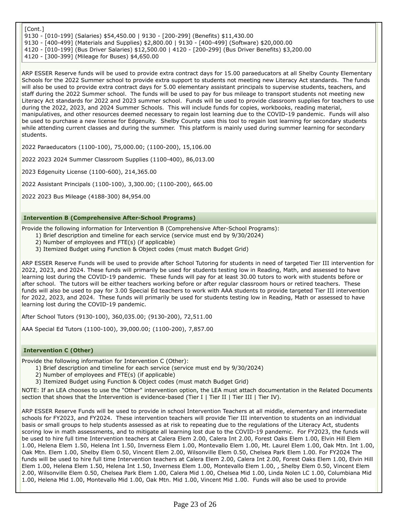[Cont.] 9130 - [010-199] (Salaries) \$54,450.00 | 9130 - [200-299] (Benefits) \$11,430.00 9130 - [400-499] (Materials and Supplies) \$2,800.00 | 9130 - [400-499] (Software) \$20,000.00 4120 - [010-199] (Bus Driver Salaries) \$12,500.00 | 4120 - [200-299] (Bus Driver Benefits) \$3,200.00 4120 - [300-399] (Mileage for Buses) \$4,650.00

ARP ESSER Reserve funds will be used to provide extra contract days for 15.00 paraeducators at all Shelby County Elementary Schools for the 2022 Summer school to provide extra support to students not meeting new Literacy Act standards. The funds will also be used to provide extra contract days for 5.00 elementary assistant principals to supervise students, teachers, and staff during the 2022 Summer school. The funds will be used to pay for bus mileage to transport students not meeting new Literacy Act standards for 2022 and 2023 summer school. Funds will be used to provide classroom supplies for teachers to use during the 2022, 2023, and 2024 Summer Schools. This will include funds for copies, workbooks, reading material, manipulatives, and other resources deemed necessary to regain lost learning due to the COVID-19 pandemic. Funds will also be used to purchase a new license for Edgenuity. Shelby County uses this tool to regain lost learning for secondary students while attending current classes and during the summer. This platform is mainly used during summer learning for secondary students.

2022 Paraeducators (1100-100), 75,000.00; (1100-200), 15,106.00

2022 2023 2024 Summer Classroom Supplies (1100-400), 86,013.00

2023 Edgenuity License (1100-600), 214,365.00

2022 Assistant Principals (1100-100), 3,300.00; (1100-200), 665.00

2022 2023 Bus Mileage (4188-300) 84,954.00

# **Intervention B (Comprehensive After-School Programs)**

Provide the following information for Intervention B (Comprehensive After-School Programs):

- 1) Brief description and timeline for each service (service must end by 9/30/2024)
- 2) Number of employees and FTE(s) (if applicable)
- 3) Itemized Budget using Function & Object codes (must match Budget Grid)

ARP ESSER Reserve Funds will be used to provide after School Tutoring for students in need of targeted Tier III intervention for 2022, 2023, and 2024. These funds will primarily be used for students testing low in Reading, Math, and assessed to have learning lost during the COVID-19 pandemic. These funds will pay for at least 30.00 tutors to work with students before or after school. The tutors will be either teachers working before or after regular classroom hours or retired teachers. These funds will also be used to pay for 3.00 Special Ed teachers to work with AAA students to provide targeted Tier III intervention for 2022, 2023, and 2024. These funds will primarily be used for students testing low in Reading, Math or assessed to have learning lost during the COVID-19 pandemic.

After School Tutors (9130-100), 360,035.00; (9130-200), 72,511.00

AAA Special Ed Tutors (1100-100), 39,000.00; (1100-200), 7,857.00

# **Intervention C (Other)**

Provide the following information for Intervention C (Other):

- 1) Brief description and timeline for each service (service must end by 9/30/2024)
- 2) Number of employees and FTE(s) (if applicable)
- 3) Itemized Budget using Function & Object codes (must match Budget Grid)

NOTE: If an LEA chooses to use the "Other" intervention option, the LEA must attach documentation in the Related Documents section that shows that the Intervention is evidence-based (Tier I | Tier II | Tier III | Tier IV).

ARP ESSER Reserve Funds will be used to provide in school Intervention Teachers at all middle, elementary and intermediate schools for FY2023, and FY2024. These intervention teachers will provide Tier III intervention to students on an individual basis or small groups to help students assessed as at risk to repeating due to the regulations of the Literacy Act, students scoring low in math assessments, and to mitigate all learning lost due to the COVID-19 pandemic. For FY2023, the funds will be used to hire full time Intervention teachers at Calera Elem 2.00, Calera Int 2.00, Forest Oaks Elem 1.00, Elvin Hill Elem 1.00, Helena Elem 1.50, Helena Int 1.50, Inverness Elem 1.00, Montevallo Elem 1.00, Mt. Laurel Elem 1.00, Oak Mtn. Int 1.00, Oak Mtn. Elem 1.00, Shelby Elem 0.50, Vincent Elem 2.00, Wilsonville Elem 0.50, Chelsea Park Elem 1.00. For FY2024 The funds will be used to hire full time Intervention teachers at Calera Elem 2.00, Calera Int 2.00, Forest Oaks Elem 1.00, Elvin Hill Elem 1.00, Helena Elem 1.50, Helena Int 1.50, Inverness Elem 1.00, Montevallo Elem 1.00, , Shelby Elem 0.50, Vincent Elem 2.00, Wilsonville Elem 0.50, Chelsea Park Elem 1.00, Calera Mid 1.00, Chelsea Mid 1.00, Linda Nolen LC 1.00, Columbiana Mid 1.00, Helena Mid 1.00, Montevallo Mid 1.00, Oak Mtn. Mid 1.00, Vincent Mid 1.00. Funds will also be used to provide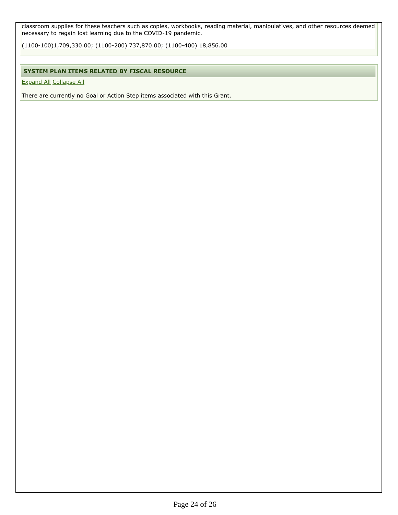classroom supplies for these teachers such as copies, workbooks, reading material, manipulatives, and other resources deemed necessary to regain lost learning due to the COVID-19 pandemic.

(1100-100)1,709,330.00; (1100-200) 737,870.00; (1100-400) 18,856.00

# **SYSTEM PLAN ITEMS RELATED BY FISCAL RESOURCE**

Expand All Collapse All

There are currently no Goal or Action Step items associated with this Grant.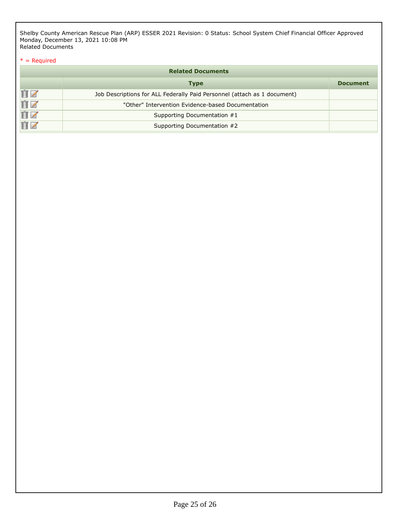Shelby County American Rescue Plan (ARP) ESSER 2021 Revision: 0 Status: School System Chief Financial Officer Approved Monday, December 13, 2021 10:08 PM Related Documents

# $*$  = Required

| <b>Related Documents</b> |                                                                          |                 |  |  |  |
|--------------------------|--------------------------------------------------------------------------|-----------------|--|--|--|
|                          | <b>Type</b>                                                              | <b>Document</b> |  |  |  |
| ÛZ                       | Job Descriptions for ALL Federally Paid Personnel (attach as 1 document) |                 |  |  |  |
| ÛZ                       | "Other" Intervention Evidence-based Documentation                        |                 |  |  |  |
| ÛZ                       | Supporting Documentation #1                                              |                 |  |  |  |
|                          | Supporting Documentation #2                                              |                 |  |  |  |